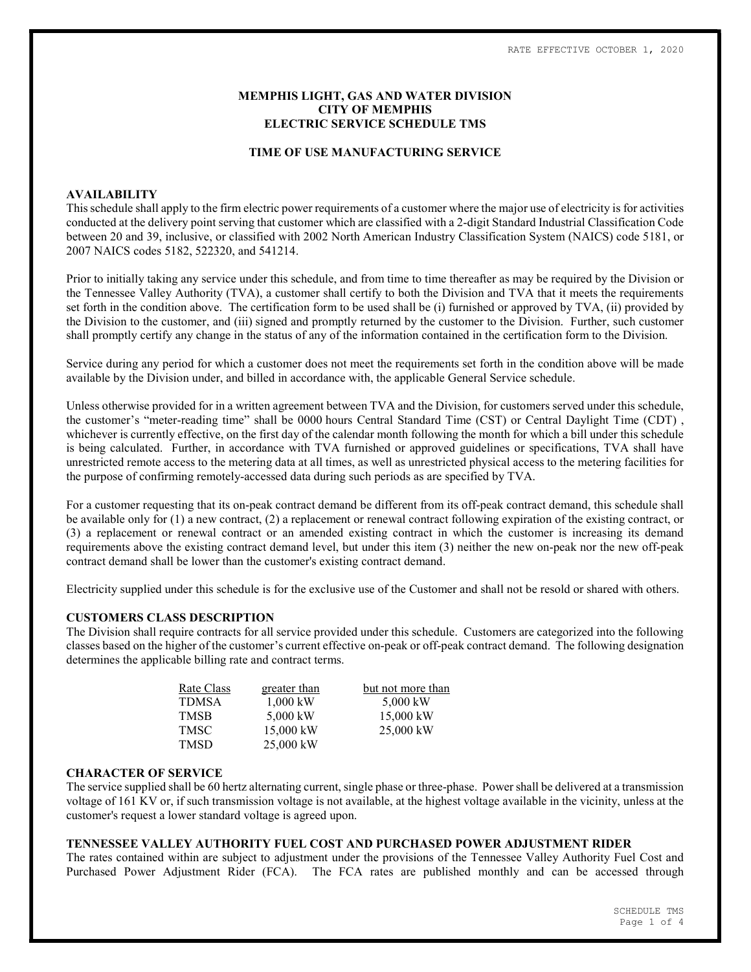## MEMPHIS LIGHT, GAS AND WATER DIVISION CITY OF MEMPHIS ELECTRIC SERVICE SCHEDULE TMS

#### TIME OF USE MANUFACTURING SERVICE

### AVAILABILITY

This schedule shall apply to the firm electric power requirements of a customer where the major use of electricity is for activities conducted at the delivery point serving that customer which are classified with a 2-digit Standard Industrial Classification Code between 20 and 39, inclusive, or classified with 2002 North American Industry Classification System (NAICS) code 5181, or 2007 NAICS codes 5182, 522320, and 541214.

Prior to initially taking any service under this schedule, and from time to time thereafter as may be required by the Division or the Tennessee Valley Authority (TVA), a customer shall certify to both the Division and TVA that it meets the requirements set forth in the condition above. The certification form to be used shall be (i) furnished or approved by TVA, (ii) provided by the Division to the customer, and (iii) signed and promptly returned by the customer to the Division. Further, such customer shall promptly certify any change in the status of any of the information contained in the certification form to the Division.

Service during any period for which a customer does not meet the requirements set forth in the condition above will be made available by the Division under, and billed in accordance with, the applicable General Service schedule.

Unless otherwise provided for in a written agreement between TVA and the Division, for customers served under this schedule, the customer's "meter-reading time" shall be 0000 hours Central Standard Time (CST) or Central Daylight Time (CDT) , whichever is currently effective, on the first day of the calendar month following the month for which a bill under this schedule is being calculated. Further, in accordance with TVA furnished or approved guidelines or specifications, TVA shall have unrestricted remote access to the metering data at all times, as well as unrestricted physical access to the metering facilities for the purpose of confirming remotely-accessed data during such periods as are specified by TVA.

For a customer requesting that its on-peak contract demand be different from its off-peak contract demand, this schedule shall be available only for (1) a new contract, (2) a replacement or renewal contract following expiration of the existing contract, or (3) a replacement or renewal contract or an amended existing contract in which the customer is increasing its demand requirements above the existing contract demand level, but under this item (3) neither the new on-peak nor the new off-peak contract demand shall be lower than the customer's existing contract demand.

Electricity supplied under this schedule is for the exclusive use of the Customer and shall not be resold or shared with others.

### CUSTOMERS CLASS DESCRIPTION

The Division shall require contracts for all service provided under this schedule. Customers are categorized into the following classes based on the higher of the customer's current effective on-peak or off-peak contract demand. The following designation determines the applicable billing rate and contract terms.

| Rate Class | greater than | but not more than |  |  |  |
|------------|--------------|-------------------|--|--|--|
| TDMSA      | $1.000$ kW   | 5,000 kW          |  |  |  |
| TMSB       | 5,000 kW     | $15,000$ kW       |  |  |  |
| TMSC       | 15,000 kW    | 25,000 kW         |  |  |  |
| TMSD       | 25,000 kW    |                   |  |  |  |

#### CHARACTER OF SERVICE

The service supplied shall be 60 hertz alternating current, single phase or three-phase. Power shall be delivered at a transmission voltage of 161 KV or, if such transmission voltage is not available, at the highest voltage available in the vicinity, unless at the customer's request a lower standard voltage is agreed upon.

# TENNESSEE VALLEY AUTHORITY FUEL COST AND PURCHASED POWER ADJUSTMENT RIDER

The rates contained within are subject to adjustment under the provisions of the Tennessee Valley Authority Fuel Cost and Purchased Power Adjustment Rider (FCA). The FCA rates are published monthly and can be accessed through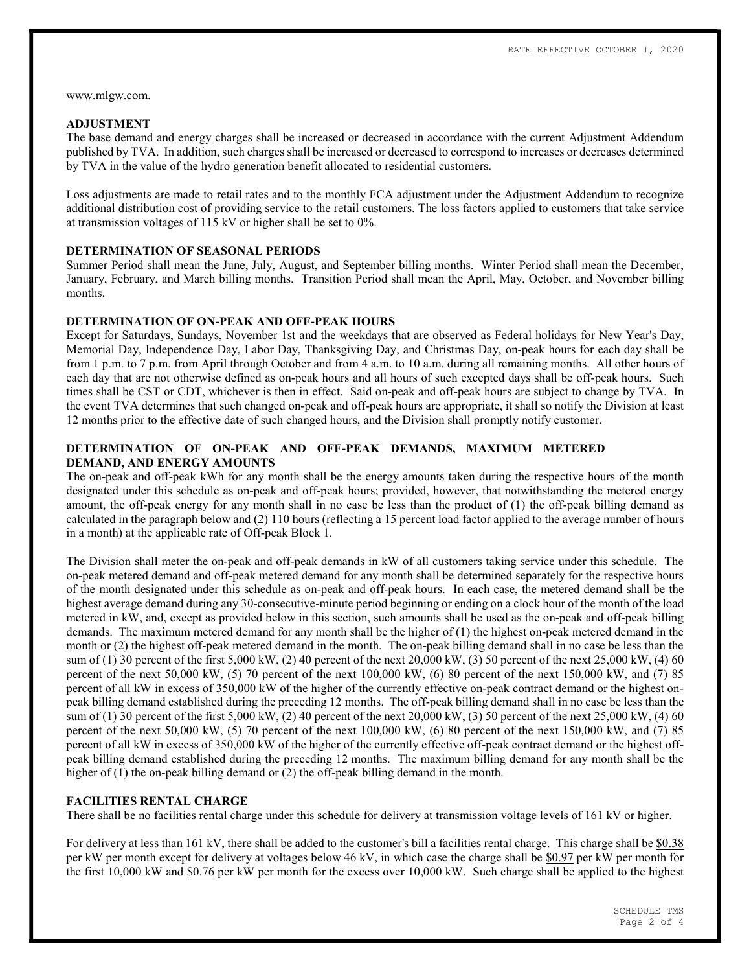www.mlgw.com.

#### ADJUSTMENT

The base demand and energy charges shall be increased or decreased in accordance with the current Adjustment Addendum published by TVA. In addition, such charges shall be increased or decreased to correspond to increases or decreases determined by TVA in the value of the hydro generation benefit allocated to residential customers.

Loss adjustments are made to retail rates and to the monthly FCA adjustment under the Adjustment Addendum to recognize additional distribution cost of providing service to the retail customers. The loss factors applied to customers that take service at transmission voltages of 115 kV or higher shall be set to 0%.

### DETERMINATION OF SEASONAL PERIODS

Summer Period shall mean the June, July, August, and September billing months. Winter Period shall mean the December, January, February, and March billing months. Transition Period shall mean the April, May, October, and November billing months.

### DETERMINATION OF ON-PEAK AND OFF-PEAK HOURS

Except for Saturdays, Sundays, November 1st and the weekdays that are observed as Federal holidays for New Year's Day, Memorial Day, Independence Day, Labor Day, Thanksgiving Day, and Christmas Day, on-peak hours for each day shall be from 1 p.m. to 7 p.m. from April through October and from 4 a.m. to 10 a.m. during all remaining months. All other hours of each day that are not otherwise defined as on-peak hours and all hours of such excepted days shall be off-peak hours. Such times shall be CST or CDT, whichever is then in effect. Said on-peak and off-peak hours are subject to change by TVA. In the event TVA determines that such changed on-peak and off-peak hours are appropriate, it shall so notify the Division at least 12 months prior to the effective date of such changed hours, and the Division shall promptly notify customer.

## DETERMINATION OF ON-PEAK AND OFF-PEAK DEMANDS, MAXIMUM METERED DEMAND, AND ENERGY AMOUNTS

The on-peak and off-peak kWh for any month shall be the energy amounts taken during the respective hours of the month designated under this schedule as on-peak and off-peak hours; provided, however, that notwithstanding the metered energy amount, the off-peak energy for any month shall in no case be less than the product of (1) the off-peak billing demand as calculated in the paragraph below and (2) 110 hours (reflecting a 15 percent load factor applied to the average number of hours in a month) at the applicable rate of Off-peak Block 1.

The Division shall meter the on-peak and off-peak demands in kW of all customers taking service under this schedule. The on-peak metered demand and off-peak metered demand for any month shall be determined separately for the respective hours of the month designated under this schedule as on-peak and off-peak hours. In each case, the metered demand shall be the highest average demand during any 30-consecutive-minute period beginning or ending on a clock hour of the month of the load metered in kW, and, except as provided below in this section, such amounts shall be used as the on-peak and off-peak billing demands. The maximum metered demand for any month shall be the higher of (1) the highest on-peak metered demand in the month or (2) the highest off-peak metered demand in the month. The on-peak billing demand shall in no case be less than the sum of (1) 30 percent of the first 5,000 kW, (2) 40 percent of the next 20,000 kW, (3) 50 percent of the next 25,000 kW, (4) 60 percent of the next  $50,000$  kW,  $(5)$  70 percent of the next  $100,000$  kW,  $(6)$  80 percent of the next  $150,000$  kW, and  $(7)$  85 percent of all kW in excess of 350,000 kW of the higher of the currently effective on-peak contract demand or the highest onpeak billing demand established during the preceding 12 months. The off-peak billing demand shall in no case be less than the sum of (1) 30 percent of the first 5,000 kW, (2) 40 percent of the next 20,000 kW, (3) 50 percent of the next 25,000 kW, (4) 60 percent of the next  $50,000$  kW,  $(5)$  70 percent of the next  $100,000$  kW,  $(6)$  80 percent of the next  $150,000$  kW, and  $(7)$  85 percent of all kW in excess of 350,000 kW of the higher of the currently effective off-peak contract demand or the highest offpeak billing demand established during the preceding 12 months. The maximum billing demand for any month shall be the higher of (1) the on-peak billing demand or (2) the off-peak billing demand in the month.

### FACILITIES RENTAL CHARGE

There shall be no facilities rental charge under this schedule for delivery at transmission voltage levels of 161 kV or higher.

For delivery at less than 161 kV, there shall be added to the customer's bill a facilities rental charge. This charge shall be \$0.38 per kW per month except for delivery at voltages below 46 kV, in which case the charge shall be \$0.97 per kW per month for the first 10,000 kW and \$0.76 per kW per month for the excess over 10,000 kW. Such charge shall be applied to the highest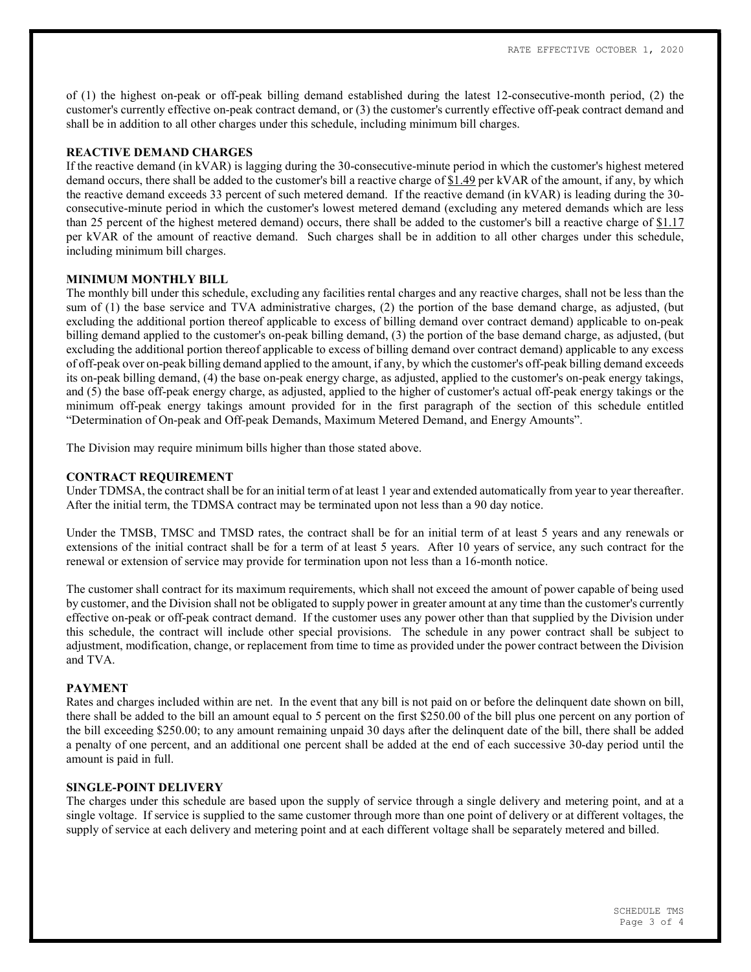of (1) the highest on-peak or off-peak billing demand established during the latest 12-consecutive-month period, (2) the customer's currently effective on-peak contract demand, or (3) the customer's currently effective off-peak contract demand and shall be in addition to all other charges under this schedule, including minimum bill charges.

### REACTIVE DEMAND CHARGES

If the reactive demand (in kVAR) is lagging during the 30-consecutive-minute period in which the customer's highest metered demand occurs, there shall be added to the customer's bill a reactive charge of \$1.49 per kVAR of the amount, if any, by which the reactive demand exceeds 33 percent of such metered demand. If the reactive demand (in kVAR) is leading during the 30 consecutive-minute period in which the customer's lowest metered demand (excluding any metered demands which are less than 25 percent of the highest metered demand) occurs, there shall be added to the customer's bill a reactive charge of  $$1.17$ per kVAR of the amount of reactive demand. Such charges shall be in addition to all other charges under this schedule, including minimum bill charges.

### MINIMUM MONTHLY BILL

The monthly bill under this schedule, excluding any facilities rental charges and any reactive charges, shall not be less than the sum of (1) the base service and TVA administrative charges, (2) the portion of the base demand charge, as adjusted, (but excluding the additional portion thereof applicable to excess of billing demand over contract demand) applicable to on-peak billing demand applied to the customer's on-peak billing demand, (3) the portion of the base demand charge, as adjusted, (but excluding the additional portion thereof applicable to excess of billing demand over contract demand) applicable to any excess of off-peak over on-peak billing demand applied to the amount, if any, by which the customer's off-peak billing demand exceeds its on-peak billing demand, (4) the base on-peak energy charge, as adjusted, applied to the customer's on-peak energy takings, and (5) the base off-peak energy charge, as adjusted, applied to the higher of customer's actual off-peak energy takings or the minimum off-peak energy takings amount provided for in the first paragraph of the section of this schedule entitled "Determination of On-peak and Off-peak Demands, Maximum Metered Demand, and Energy Amounts".

The Division may require minimum bills higher than those stated above.

#### CONTRACT REQUIREMENT

Under TDMSA, the contract shall be for an initial term of at least 1 year and extended automatically from year to year thereafter. After the initial term, the TDMSA contract may be terminated upon not less than a 90 day notice.

Under the TMSB, TMSC and TMSD rates, the contract shall be for an initial term of at least 5 years and any renewals or extensions of the initial contract shall be for a term of at least 5 years. After 10 years of service, any such contract for the renewal or extension of service may provide for termination upon not less than a 16-month notice.

The customer shall contract for its maximum requirements, which shall not exceed the amount of power capable of being used by customer, and the Division shall not be obligated to supply power in greater amount at any time than the customer's currently effective on-peak or off-peak contract demand. If the customer uses any power other than that supplied by the Division under this schedule, the contract will include other special provisions. The schedule in any power contract shall be subject to adjustment, modification, change, or replacement from time to time as provided under the power contract between the Division and TVA.

### PAYMENT

Rates and charges included within are net. In the event that any bill is not paid on or before the delinquent date shown on bill, there shall be added to the bill an amount equal to 5 percent on the first \$250.00 of the bill plus one percent on any portion of the bill exceeding \$250.00; to any amount remaining unpaid 30 days after the delinquent date of the bill, there shall be added a penalty of one percent, and an additional one percent shall be added at the end of each successive 30-day period until the amount is paid in full.

#### SINGLE-POINT DELIVERY

The charges under this schedule are based upon the supply of service through a single delivery and metering point, and at a single voltage. If service is supplied to the same customer through more than one point of delivery or at different voltages, the supply of service at each delivery and metering point and at each different voltage shall be separately metered and billed.